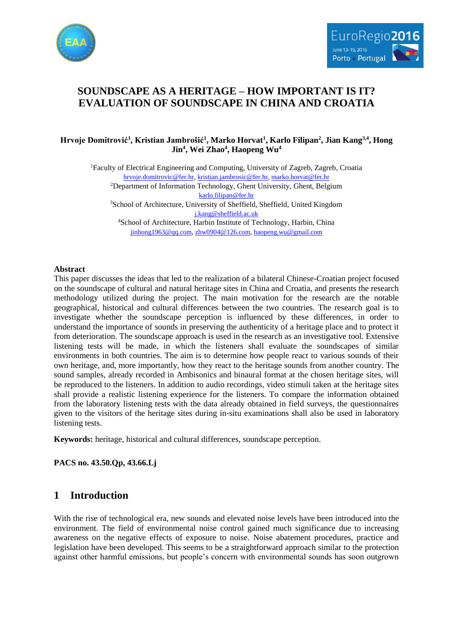



# **SOUNDSCAPE AS A HERITAGE – HOW IMPORTANT IS IT? EVALUATION OF SOUNDSCAPE IN CHINA AND CROATIA**

### **Hrvoje Domitrović<sup>1</sup> , Kristian Jambrošić<sup>1</sup> , Marko Horvat<sup>1</sup> , Karlo Filipan<sup>2</sup> , Jian Kang3,4, Hong Jin<sup>4</sup> , Wei Zhao<sup>4</sup> , Haopeng Wu<sup>4</sup>**

<sup>1</sup>Faculty of Electrical Engineering and Computing, University of Zagreb, Zagreb, Croatia [hrvoje.domitrovic@fer.hr,](mailto:hrvoje.domitrovic@fer.hr) [kristian.jambrosic@fer.hr,](mailto:kristian.jambrosic@fer.hr) [marko.horvat@fer.hr](mailto:marko.horvat@fer.hr) <sup>2</sup>Department of Information Technology, Ghent University, Ghent, Belgium [karlo.filipan@fer.hr](mailto:karlo.filipan@fer.hr) <sup>3</sup>School of Architecture, University of Sheffield, Sheffield, United Kingdom [j.kang@sheffield.ac.uk](mailto:j.kang@sheffield.ac.uk) <sup>4</sup>School of Architecture, Harbin Institute of Technology, Harbin, China [jinhong1963@qq.com,](mailto:jinhong1963@qq.com) [zhw0904@126.com,](mailto:zhw0904@126.com) [haopeng.wu@gmail.com](mailto:haopeng.wu@gmail.com)

#### **Abstract**

This paper discusses the ideas that led to the realization of a bilateral Chinese-Croatian project focused on the soundscape of cultural and natural heritage sites in China and Croatia, and presents the research methodology utilized during the project. The main motivation for the research are the notable geographical, historical and cultural differences between the two countries. The research goal is to investigate whether the soundscape perception is influenced by these differences, in order to understand the importance of sounds in preserving the authenticity of a heritage place and to protect it from deterioration. The soundscape approach is used in the research as an investigative tool. Extensive listening tests will be made, in which the listeners shall evaluate the soundscapes of similar environments in both countries. The aim is to determine how people react to various sounds of their own heritage, and, more importantly, how they react to the heritage sounds from another country. The sound samples, already recorded in Ambisonics and binaural format at the chosen heritage sites, will be reproduced to the listeners. In addition to audio recordings, video stimuli taken at the heritage sites shall provide a realistic listening experience for the listeners. To compare the information obtained from the laboratory listening tests with the data already obtained in field surveys, the questionnaires given to the visitors of the heritage sites during in-situ examinations shall also be used in laboratory listening tests.

**Keywords:** heritage, historical and cultural differences, soundscape perception.

**PACS no. 43.50.Qp, 43.66.Lj**

# **1 Introduction**

With the rise of technological era, new sounds and elevated noise levels have been introduced into the environment. The field of environmental noise control gained much significance due to increasing awareness on the negative effects of exposure to noise. Noise abatement procedures, practice and legislation have been developed. This seems to be a straightforward approach similar to the protection against other harmful emissions, but people's concern with environmental sounds has soon outgrown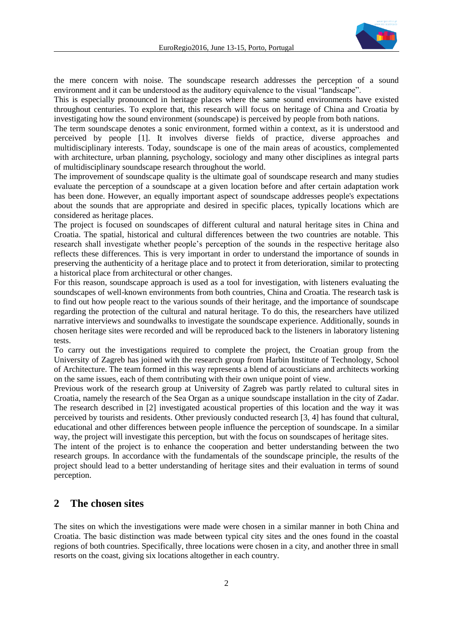

the mere concern with noise. The soundscape research addresses the perception of a sound environment and it can be understood as the auditory equivalence to the visual "landscape".

This is especially pronounced in heritage places where the same sound environments have existed throughout centuries. To explore that, this research will focus on heritage of China and Croatia by investigating how the sound environment (soundscape) is perceived by people from both nations.

The term soundscape denotes a sonic environment, formed within a context, as it is understood and perceived by people [1]. It involves diverse fields of practice, diverse approaches and multidisciplinary interests. Today, soundscape is one of the main areas of acoustics, complemented with architecture, urban planning, psychology, sociology and many other disciplines as integral parts of multidisciplinary soundscape research throughout the world.

The improvement of soundscape quality is the ultimate goal of soundscape research and many studies evaluate the perception of a soundscape at a given location before and after certain adaptation work has been done. However, an equally important aspect of soundscape addresses people's expectations about the sounds that are appropriate and desired in specific places, typically locations which are considered as heritage places.

The project is focused on soundscapes of different cultural and natural heritage sites in China and Croatia. The spatial, historical and cultural differences between the two countries are notable. This research shall investigate whether people's perception of the sounds in the respective heritage also reflects these differences. This is very important in order to understand the importance of sounds in preserving the authenticity of a heritage place and to protect it from deterioration, similar to protecting a historical place from architectural or other changes.

For this reason, soundscape approach is used as a tool for investigation, with listeners evaluating the soundscapes of well-known environments from both countries, China and Croatia. The research task is to find out how people react to the various sounds of their heritage, and the importance of soundscape regarding the protection of the cultural and natural heritage. To do this, the researchers have utilized narrative interviews and soundwalks to investigate the soundscape experience. Additionally, sounds in chosen heritage sites were recorded and will be reproduced back to the listeners in laboratory listening tests.

To carry out the investigations required to complete the project, the Croatian group from the University of Zagreb has joined with the research group from Harbin Institute of Technology, School of Architecture. The team formed in this way represents a blend of acousticians and architects working on the same issues, each of them contributing with their own unique point of view.

Previous work of the research group at University of Zagreb was partly related to cultural sites in Croatia, namely the research of the Sea Organ as a unique soundscape installation in the city of Zadar. The research described in [2] investigated acoustical properties of this location and the way it was perceived by tourists and residents. Other previously conducted research [3, 4] has found that cultural, educational and other differences between people influence the perception of soundscape. In a similar way, the project will investigate this perception, but with the focus on soundscapes of heritage sites.

The intent of the project is to enhance the cooperation and better understanding between the two research groups. In accordance with the fundamentals of the soundscape principle, the results of the project should lead to a better understanding of heritage sites and their evaluation in terms of sound perception.

## **2 The chosen sites**

The sites on which the investigations were made were chosen in a similar manner in both China and Croatia. The basic distinction was made between typical city sites and the ones found in the coastal regions of both countries. Specifically, three locations were chosen in a city, and another three in small resorts on the coast, giving six locations altogether in each country.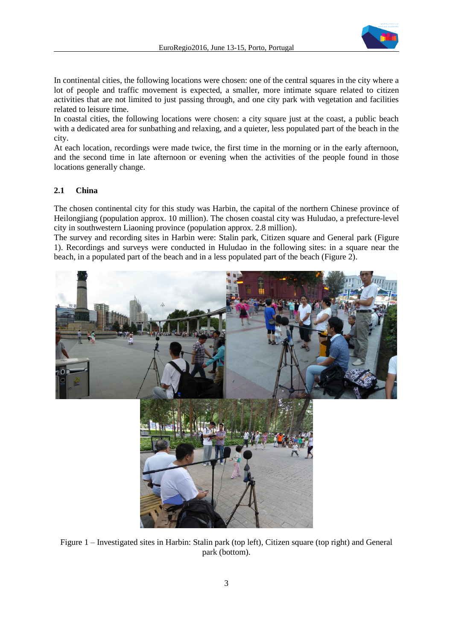

In continental cities, the following locations were chosen: one of the central squares in the city where a lot of people and traffic movement is expected, a smaller, more intimate square related to citizen activities that are not limited to just passing through, and one city park with vegetation and facilities related to leisure time.

In coastal cities, the following locations were chosen: a city square just at the coast, a public beach with a dedicated area for sunbathing and relaxing, and a quieter, less populated part of the beach in the city.

At each location, recordings were made twice, the first time in the morning or in the early afternoon, and the second time in late afternoon or evening when the activities of the people found in those locations generally change.

#### **2.1 China**

The chosen continental city for this study was Harbin, the capital of the northern Chinese province of Heilongjiang (population approx. 10 million). The chosen coastal city was Huludao, a prefecture-level city in southwestern Liaoning province (population approx. 2.8 million).

The survey and recording sites in Harbin were: Stalin park, Citizen square and General park (Figure 1). Recordings and surveys were conducted in Huludao in the following sites: in a square near the beach, in a populated part of the beach and in a less populated part of the beach (Figure 2).



Figure 1 – Investigated sites in Harbin: Stalin park (top left), Citizen square (top right) and General park (bottom).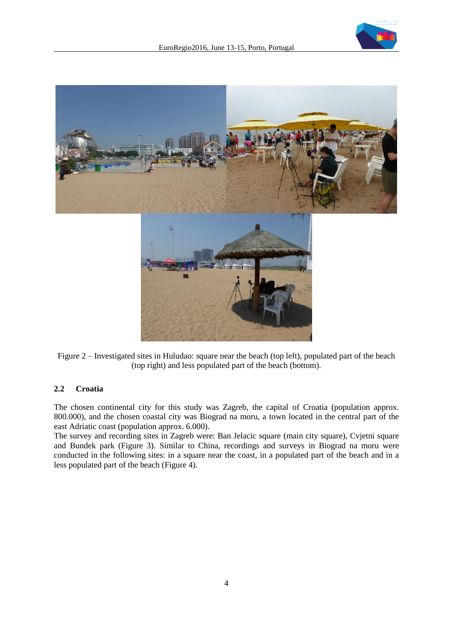

Figure 2 – Investigated sites in Huludao: square near the beach (top left), populated part of the beach (top right) and less populated part of the beach (bottom).

### **2.2 Croatia**

The chosen continental city for this study was Zagreb, the capital of Croatia (population approx. 800.000), and the chosen coastal city was Biograd na moru, a town located in the central part of the east Adriatic coast (population approx. 6.000).

The survey and recording sites in Zagreb were: Ban Jelacic square (main city square), Cvjetni square and Bundek park (Figure 3). Similar to China, recordings and surveys in Biograd na moru were conducted in the following sites: in a square near the coast, in a populated part of the beach and in a less populated part of the beach (Figure 4).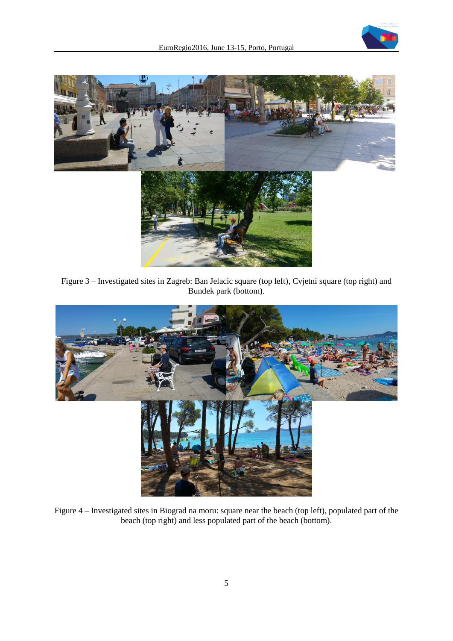



Figure 3 – Investigated sites in Zagreb: Ban Jelacic square (top left), Cvjetni square (top right) and Bundek park (bottom).



Figure 4 – Investigated sites in Biograd na moru: square near the beach (top left), populated part of the beach (top right) and less populated part of the beach (bottom).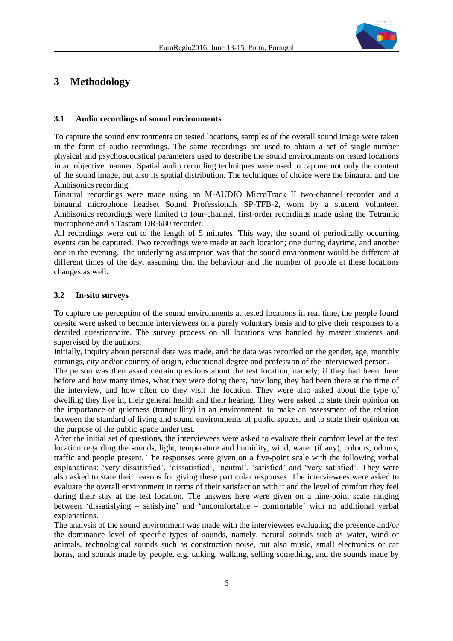

## **3 Methodology**

#### **3.1 Audio recordings of sound environments**

To capture the sound environments on tested locations, samples of the overall sound image were taken in the form of audio recordings. The same recordings are used to obtain a set of single-number physical and psychoacoustical parameters used to describe the sound environments on tested locations in an objective manner. Spatial audio recording techniques were used to capture not only the content of the sound image, but also its spatial distribution. The techniques of choice were the binaural and the Ambisonics recording.

Binaural recordings were made using an M-AUDIO MicroTrack II two-channel recorder and a binaural microphone headset Sound Professionals SP-TFB-2, worn by a student volunteer. Ambisonics recordings were limited to four-channel, first-order recordings made using the Tetramic microphone and a Tascam DR-680 recorder.

All recordings were cut to the length of 5 minutes. This way, the sound of periodically occurring events can be captured. Two recordings were made at each location; one during daytime, and another one in the evening. The underlying assumption was that the sound environment would be different at different times of the day, assuming that the behaviour and the number of people at these locations changes as well.

#### **3.2 In-situ surveys**

To capture the perception of the sound environments at tested locations in real time, the people found on-site were asked to become interviewees on a purely voluntary basis and to give their responses to a detailed questionnaire. The survey process on all locations was handled by master students and supervised by the authors.

Initially, inquiry about personal data was made, and the data was recorded on the gender, age, monthly earnings, city and/or country of origin, educational degree and profession of the interviewed person.

The person was then asked certain questions about the test location, namely, if they had been there before and how many times, what they were doing there, how long they had been there at the time of the interview, and how often do they visit the location. They were also asked about the type of dwelling they live in, their general health and their hearing. They were asked to state their opinion on the importance of quietness (tranquillity) in an environment, to make an assessment of the relation between the standard of living and sound environments of public spaces, and to state their opinion on the purpose of the public space under test.

After the initial set of questions, the interviewees were asked to evaluate their comfort level at the test location regarding the sounds, light, temperature and humidity, wind, water (if any), colours, odours, traffic and people present. The responses were given on a five-point scale with the following verbal explanations: 'very dissatisfied', 'dissatisfied', 'neutral', 'satisfied' and 'very satisfied'. They were also asked to state their reasons for giving these particular responses. The interviewees were asked to evaluate the overall environment in terms of their satisfaction with it and the level of comfort they feel during their stay at the test location. The answers here were given on a nine-point scale ranging between 'dissatisfying – satisfying' and 'uncomfortable – comfortable' with no additional verbal explanations.

The analysis of the sound environment was made with the interviewees evaluating the presence and/or the dominance level of specific types of sounds, namely, natural sounds such as water, wind or animals, technological sounds such as construction noise, but also music, small electronics or car horns, and sounds made by people, e.g. talking, walking, selling something, and the sounds made by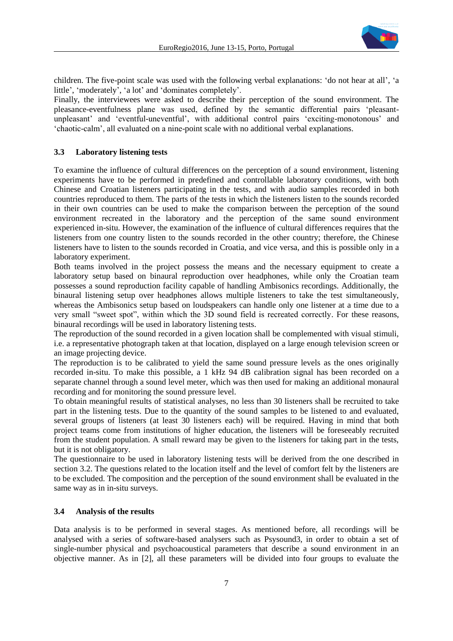

children. The five-point scale was used with the following verbal explanations: 'do not hear at all', 'a little', 'moderately', 'a lot' and 'dominates completely'.

Finally, the interviewees were asked to describe their perception of the sound environment. The pleasance-eventfulness plane was used, defined by the semantic differential pairs 'pleasantunpleasant' and 'eventful-uneventful', with additional control pairs 'exciting-monotonous' and 'chaotic-calm', all evaluated on a nine-point scale with no additional verbal explanations.

#### **3.3 Laboratory listening tests**

To examine the influence of cultural differences on the perception of a sound environment, listening experiments have to be performed in predefined and controllable laboratory conditions, with both Chinese and Croatian listeners participating in the tests, and with audio samples recorded in both countries reproduced to them. The parts of the tests in which the listeners listen to the sounds recorded in their own countries can be used to make the comparison between the perception of the sound environment recreated in the laboratory and the perception of the same sound environment experienced in-situ. However, the examination of the influence of cultural differences requires that the listeners from one country listen to the sounds recorded in the other country; therefore, the Chinese listeners have to listen to the sounds recorded in Croatia, and vice versa, and this is possible only in a laboratory experiment.

Both teams involved in the project possess the means and the necessary equipment to create a laboratory setup based on binaural reproduction over headphones, while only the Croatian team possesses a sound reproduction facility capable of handling Ambisonics recordings. Additionally, the binaural listening setup over headphones allows multiple listeners to take the test simultaneously, whereas the Ambisonics setup based on loudspeakers can handle only one listener at a time due to a very small "sweet spot", within which the 3D sound field is recreated correctly. For these reasons, binaural recordings will be used in laboratory listening tests.

The reproduction of the sound recorded in a given location shall be complemented with visual stimuli, i.e. a representative photograph taken at that location, displayed on a large enough television screen or an image projecting device.

The reproduction is to be calibrated to yield the same sound pressure levels as the ones originally recorded in-situ. To make this possible, a 1 kHz 94 dB calibration signal has been recorded on a separate channel through a sound level meter, which was then used for making an additional monaural recording and for monitoring the sound pressure level.

To obtain meaningful results of statistical analyses, no less than 30 listeners shall be recruited to take part in the listening tests. Due to the quantity of the sound samples to be listened to and evaluated, several groups of listeners (at least 30 listeners each) will be required. Having in mind that both project teams come from institutions of higher education, the listeners will be foreseeably recruited from the student population. A small reward may be given to the listeners for taking part in the tests, but it is not obligatory.

The questionnaire to be used in laboratory listening tests will be derived from the one described in section 3.2. The questions related to the location itself and the level of comfort felt by the listeners are to be excluded. The composition and the perception of the sound environment shall be evaluated in the same way as in in-situ surveys.

#### **3.4 Analysis of the results**

Data analysis is to be performed in several stages. As mentioned before, all recordings will be analysed with a series of software-based analysers such as Psysound3, in order to obtain a set of single-number physical and psychoacoustical parameters that describe a sound environment in an objective manner. As in [2], all these parameters will be divided into four groups to evaluate the